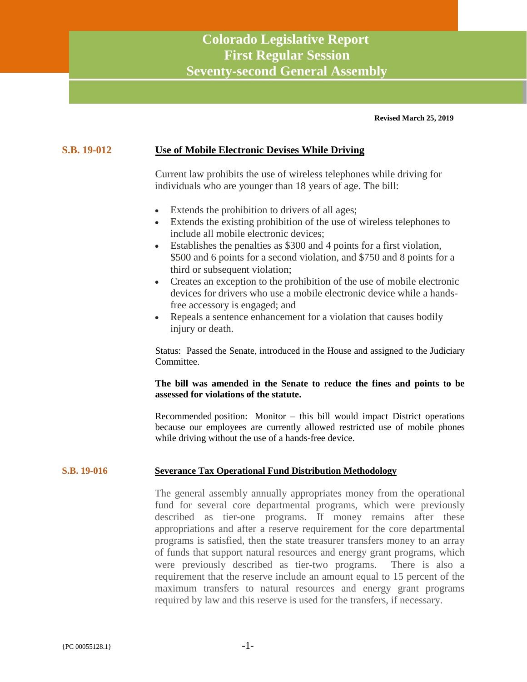# **Colorado Legislative Report First Regular Session Seventy-second General Assembly**

**Revised March 25, 2019**

#### **S.B. 19-012 Use of Mobile Electronic Devises While Driving**

Current law prohibits the use of wireless telephones while driving for individuals who are younger than 18 years of age. The bill:

- Extends the prohibition to drivers of all ages;
- Extends the existing prohibition of the use of wireless telephones to include all mobile electronic devices;
- Establishes the penalties as \$300 and 4 points for a first violation, \$500 and 6 points for a second violation, and \$750 and 8 points for a third or subsequent violation;
- Creates an exception to the prohibition of the use of mobile electronic devices for drivers who use a mobile electronic device while a handsfree accessory is engaged; and
- Repeals a sentence enhancement for a violation that causes bodily injury or death.

Status: Passed the Senate, introduced in the House and assigned to the Judiciary Committee.

#### **The bill was amended in the Senate to reduce the fines and points to be assessed for violations of the statute.**

Recommended position: Monitor – this bill would impact District operations because our employees are currently allowed restricted use of mobile phones while driving without the use of a hands-free device.

#### **S.B. 19-016 Severance Tax Operational Fund Distribution Methodology**

The general assembly annually appropriates money from the operational fund for several core departmental programs, which were previously described as tier-one programs. If money remains after these appropriations and after a reserve requirement for the core departmental programs is satisfied, then the state treasurer transfers money to an array of funds that support natural resources and energy grant programs, which were previously described as tier-two programs. There is also a requirement that the reserve include an amount equal to 15 percent of the maximum transfers to natural resources and energy grant programs required by law and this reserve is used for the transfers, if necessary.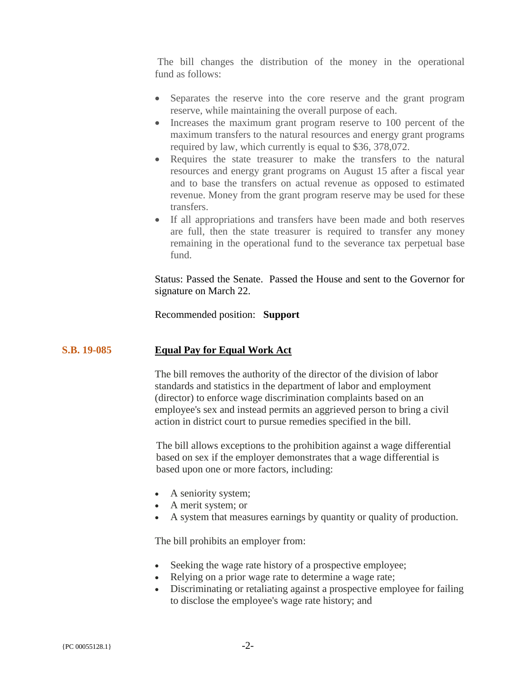The bill changes the distribution of the money in the operational fund as follows:

- Separates the reserve into the core reserve and the grant program reserve, while maintaining the overall purpose of each.
- Increases the maximum grant program reserve to 100 percent of the maximum transfers to the natural resources and energy grant programs required by law, which currently is equal to \$36, 378,072.
- Requires the state treasurer to make the transfers to the natural resources and energy grant programs on August 15 after a fiscal year and to base the transfers on actual revenue as opposed to estimated revenue. Money from the grant program reserve may be used for these transfers.
- If all appropriations and transfers have been made and both reserves are full, then the state treasurer is required to transfer any money remaining in the operational fund to the severance tax perpetual base fund.

Status: Passed the Senate. Passed the House and sent to the Governor for signature on March 22.

Recommended position: **Support**

# **S.B. 19-085 Equal Pay for Equal Work Act**

The bill removes the authority of the director of the division of labor standards and statistics in the department of labor and employment (director) to enforce wage discrimination complaints based on an employee's sex and instead permits an aggrieved person to bring a civil action in district court to pursue remedies specified in the bill.

The bill allows exceptions to the prohibition against a wage differential based on sex if the employer demonstrates that a wage differential is based upon one or more factors, including:

- A seniority system;
- A merit system; or
- A system that measures earnings by quantity or quality of production.

The bill prohibits an employer from:

- Seeking the wage rate history of a prospective employee;
- Relying on a prior wage rate to determine a wage rate;
- Discriminating or retaliating against a prospective employee for failing to disclose the employee's wage rate history; and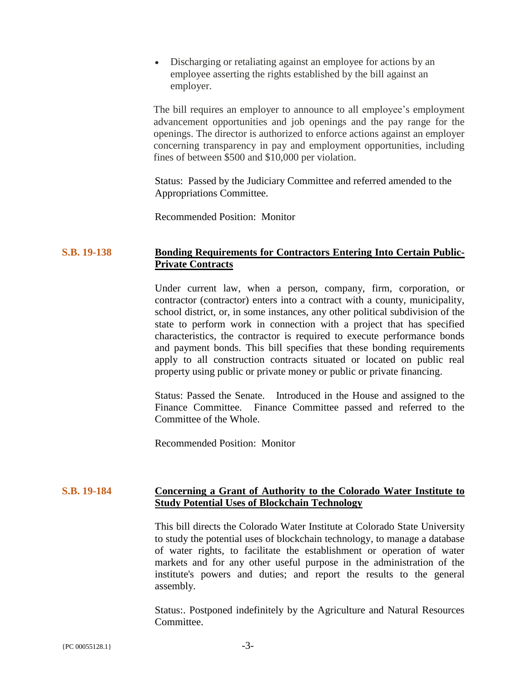• Discharging or retaliating against an employee for actions by an employee asserting the rights established by the bill against an employer.

The bill requires an employer to announce to all employee's employment advancement opportunities and job openings and the pay range for the openings. The director is authorized to enforce actions against an employer concerning transparency in pay and employment opportunities, including fines of between \$500 and \$10,000 per violation.

Status: Passed by the Judiciary Committee and referred amended to the Appropriations Committee.

Recommended Position: Monitor

# **S.B. 19-138 Bonding Requirements for Contractors Entering Into Certain Public-Private Contracts**

Under current law, when a person, company, firm, corporation, or contractor (contractor) enters into a contract with a county, municipality, school district, or, in some instances, any other political subdivision of the state to perform work in connection with a project that has specified characteristics, the contractor is required to execute performance bonds and payment bonds. This bill specifies that these bonding requirements apply to all construction contracts situated or located on public real property using public or private money or public or private financing.

Status: Passed the Senate. Introduced in the House and assigned to the Finance Committee. Finance Committee passed and referred to the Committee of the Whole.

Recommended Position: Monitor

# **S.B. 19-184 Concerning a Grant of Authority to the Colorado Water Institute to Study Potential Uses of Blockchain Technology**

This bill directs the Colorado Water Institute at Colorado State University to study the potential uses of blockchain technology, to manage a database of water rights, to facilitate the establishment or operation of water markets and for any other useful purpose in the administration of the institute's powers and duties; and report the results to the general assembly.

Status:. Postponed indefinitely by the Agriculture and Natural Resources Committee.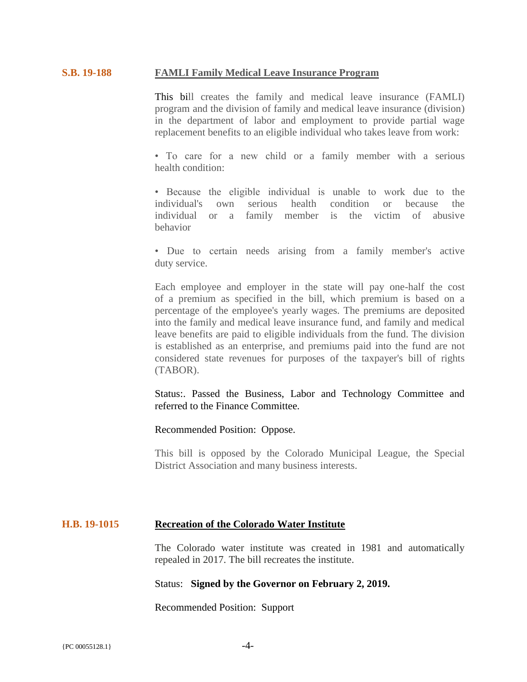#### **S.B. 19-188 FAMLI Family Medical Leave Insurance Program**

This bill creates the family and medical leave insurance (FAMLI) program and the division of family and medical leave insurance (division) in the department of labor and employment to provide partial wage replacement benefits to an eligible individual who takes leave from work:

• To care for a new child or a family member with a serious health condition:

• Because the eligible individual is unable to work due to the individual's own serious health condition or because the individual or a family member is the victim of abusive behavior

• Due to certain needs arising from a family member's active duty service.

Each employee and employer in the state will pay one-half the cost of a premium as specified in the bill, which premium is based on a percentage of the employee's yearly wages. The premiums are deposited into the family and medical leave insurance fund, and family and medical leave benefits are paid to eligible individuals from the fund. The division is established as an enterprise, and premiums paid into the fund are not considered state revenues for purposes of the taxpayer's bill of rights (TABOR).

Status:. Passed the Business, Labor and Technology Committee and referred to the Finance Committee.

Recommended Position: Oppose.

This bill is opposed by the Colorado Municipal League, the Special District Association and many business interests.

#### **H.B. 19-1015 Recreation of the Colorado Water Institute**

The Colorado water institute was created in 1981 and automatically repealed in 2017. The bill recreates the institute.

#### Status: **Signed by the Governor on February 2, 2019.**

Recommended Position: Support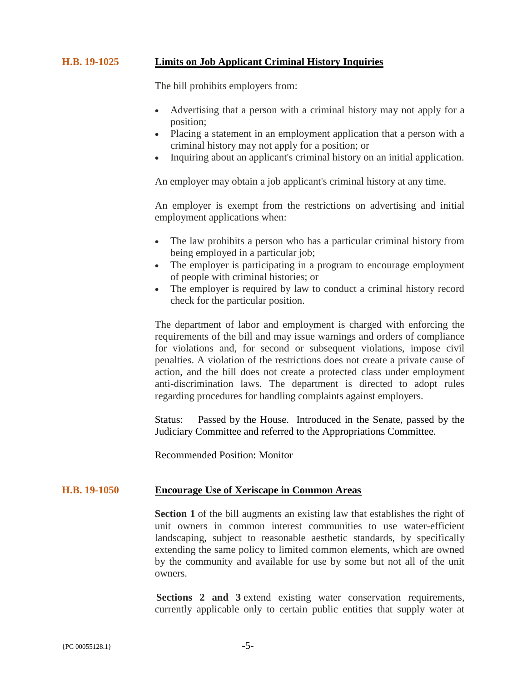# **H.B. 19-1025 Limits on Job Applicant Criminal History Inquiries**

The bill prohibits employers from:

- Advertising that a person with a criminal history may not apply for a position;
- Placing a statement in an employment application that a person with a criminal history may not apply for a position; or
- Inquiring about an applicant's criminal history on an initial application.

An employer may obtain a job applicant's criminal history at any time.

An employer is exempt from the restrictions on advertising and initial employment applications when:

- The law prohibits a person who has a particular criminal history from being employed in a particular job;
- The employer is participating in a program to encourage employment of people with criminal histories; or
- The employer is required by law to conduct a criminal history record check for the particular position.

The department of labor and employment is charged with enforcing the requirements of the bill and may issue warnings and orders of compliance for violations and, for second or subsequent violations, impose civil penalties. A violation of the restrictions does not create a private cause of action, and the bill does not create a protected class under employment anti-discrimination laws. The department is directed to adopt rules regarding procedures for handling complaints against employers.

Status: Passed by the House. Introduced in the Senate, passed by the Judiciary Committee and referred to the Appropriations Committee.

Recommended Position: Monitor

#### **H.B. 19-1050 Encourage Use of Xeriscape in Common Areas**

**Section 1** of the bill augments an existing law that establishes the right of unit owners in common interest communities to use water-efficient landscaping, subject to reasonable aesthetic standards, by specifically extending the same policy to limited common elements, which are owned by the community and available for use by some but not all of the unit owners.

**Sections 2 and 3** extend existing water conservation requirements, currently applicable only to certain public entities that supply water at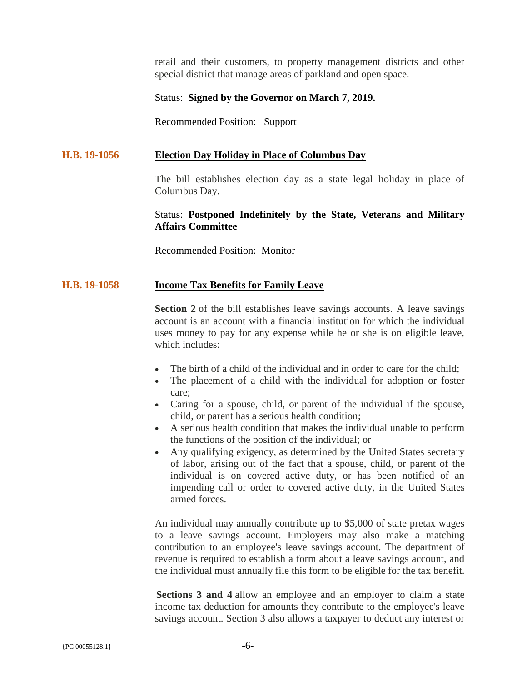retail and their customers, to property management districts and other special district that manage areas of parkland and open space.

#### Status: **Signed by the Governor on March 7, 2019.**

Recommended Position: Support

#### **H.B. 19-1056 Election Day Holiday in Place of Columbus Day**

The bill establishes election day as a state legal holiday in place of Columbus Day.

# Status: **Postponed Indefinitely by the State, Veterans and Military Affairs Committee**

Recommended Position: Monitor

#### **H.B. 19-1058 Income Tax Benefits for Family Leave**

**Section 2** of the bill establishes leave savings accounts. A leave savings account is an account with a financial institution for which the individual uses money to pay for any expense while he or she is on eligible leave, which includes:

- The birth of a child of the individual and in order to care for the child:
- The placement of a child with the individual for adoption or foster care;
- Caring for a spouse, child, or parent of the individual if the spouse, child, or parent has a serious health condition;
- A serious health condition that makes the individual unable to perform the functions of the position of the individual; or
- Any qualifying exigency, as determined by the United States secretary of labor, arising out of the fact that a spouse, child, or parent of the individual is on covered active duty, or has been notified of an impending call or order to covered active duty, in the United States armed forces.

An individual may annually contribute up to \$5,000 of state pretax wages to a leave savings account. Employers may also make a matching contribution to an employee's leave savings account. The department of revenue is required to establish a form about a leave savings account, and the individual must annually file this form to be eligible for the tax benefit.

**Sections 3 and 4** allow an employee and an employer to claim a state income tax deduction for amounts they contribute to the employee's leave savings account. Section 3 also allows a taxpayer to deduct any interest or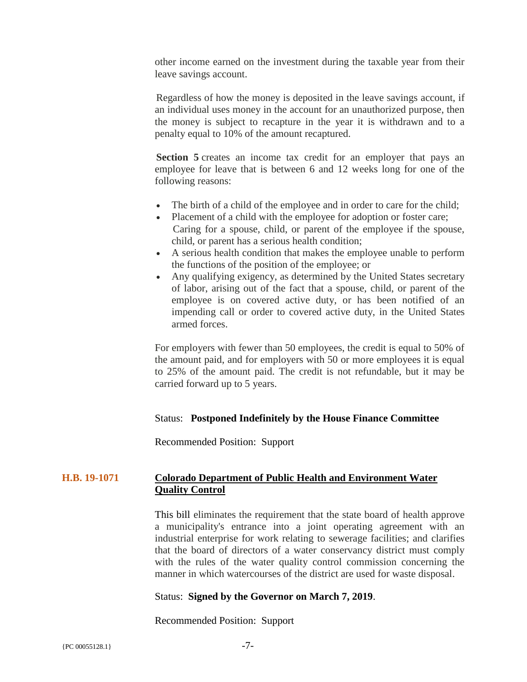other income earned on the investment during the taxable year from their leave savings account.

Regardless of how the money is deposited in the leave savings account, if an individual uses money in the account for an unauthorized purpose, then the money is subject to recapture in the year it is withdrawn and to a penalty equal to 10% of the amount recaptured.

**Section 5** creates an income tax credit for an employer that pays an employee for leave that is between 6 and 12 weeks long for one of the following reasons:

- The birth of a child of the employee and in order to care for the child;
- Placement of a child with the employee for adoption or foster care; Caring for a spouse, child, or parent of the employee if the spouse, child, or parent has a serious health condition;
- A serious health condition that makes the employee unable to perform the functions of the position of the employee; or
- Any qualifying exigency, as determined by the United States secretary of labor, arising out of the fact that a spouse, child, or parent of the employee is on covered active duty, or has been notified of an impending call or order to covered active duty, in the United States armed forces.

For employers with fewer than 50 employees, the credit is equal to 50% of the amount paid, and for employers with 50 or more employees it is equal to 25% of the amount paid. The credit is not refundable, but it may be carried forward up to 5 years.

#### Status: **Postponed Indefinitely by the House Finance Committee**

Recommended Position: Support

# **H.B. 19-1071 Colorado Department of Public Health and Environment Water Quality Control**

This bill eliminates the requirement that the state board of health approve a municipality's entrance into a joint operating agreement with an industrial enterprise for work relating to sewerage facilities; and clarifies that the board of directors of a water conservancy district must comply with the rules of the water quality control commission concerning the manner in which watercourses of the district are used for waste disposal.

# Status: **Signed by the Governor on March 7, 2019**.

Recommended Position: Support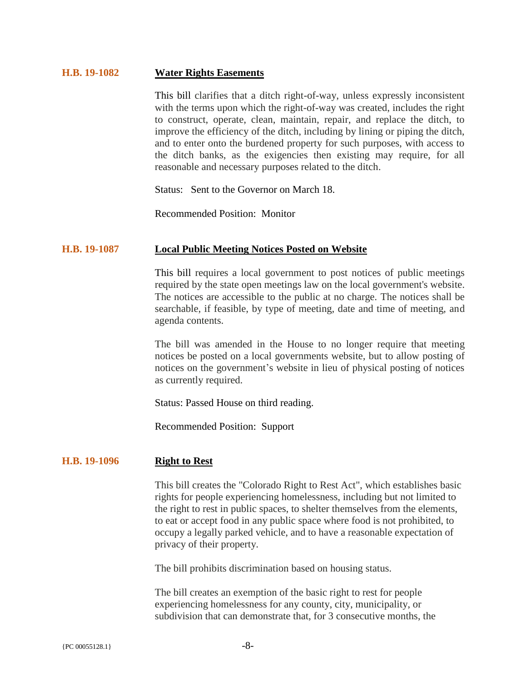#### **H.B. 19-1082 Water Rights Easements**

This bill clarifies that a ditch right-of-way, unless expressly inconsistent with the terms upon which the right-of-way was created, includes the right to construct, operate, clean, maintain, repair, and replace the ditch, to improve the efficiency of the ditch, including by lining or piping the ditch, and to enter onto the burdened property for such purposes, with access to the ditch banks, as the exigencies then existing may require, for all reasonable and necessary purposes related to the ditch.

Status: Sent to the Governor on March 18.

Recommended Position: Monitor

#### **H.B. 19-1087 Local Public Meeting Notices Posted on Website**

This bill requires a local government to post notices of public meetings required by the state open meetings law on the local government's website. The notices are accessible to the public at no charge. The notices shall be searchable, if feasible, by type of meeting, date and time of meeting, and agenda contents.

The bill was amended in the House to no longer require that meeting notices be posted on a local governments website, but to allow posting of notices on the government's website in lieu of physical posting of notices as currently required.

Status: Passed House on third reading.

Recommended Position: Support

# **H.B. 19-1096 Right to Rest**

This bill creates the "Colorado Right to Rest Act", which establishes basic rights for people experiencing homelessness, including but not limited to the right to rest in public spaces, to shelter themselves from the elements, to eat or accept food in any public space where food is not prohibited, to occupy a legally parked vehicle, and to have a reasonable expectation of privacy of their property.

The bill prohibits discrimination based on housing status.

The bill creates an exemption of the basic right to rest for people experiencing homelessness for any county, city, municipality, or subdivision that can demonstrate that, for 3 consecutive months, the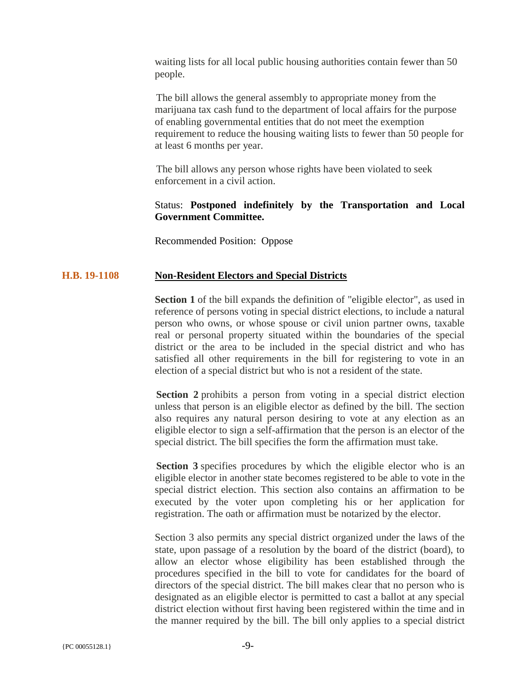waiting lists for all local public housing authorities contain fewer than 50 people.

The bill allows the general assembly to appropriate money from the marijuana tax cash fund to the department of local affairs for the purpose of enabling governmental entities that do not meet the exemption requirement to reduce the housing waiting lists to fewer than 50 people for at least 6 months per year.

The bill allows any person whose rights have been violated to seek enforcement in a civil action.

## Status: **Postponed indefinitely by the Transportation and Local Government Committee.**

Recommended Position: Oppose

#### **H.B. 19-1108 Non-Resident Electors and Special Districts**

**Section 1** of the bill expands the definition of "eligible elector", as used in reference of persons voting in special district elections, to include a natural person who owns, or whose spouse or civil union partner owns, taxable real or personal property situated within the boundaries of the special district or the area to be included in the special district and who has satisfied all other requirements in the bill for registering to vote in an election of a special district but who is not a resident of the state.

**Section 2** prohibits a person from voting in a special district election unless that person is an eligible elector as defined by the bill. The section also requires any natural person desiring to vote at any election as an eligible elector to sign a self-affirmation that the person is an elector of the special district. The bill specifies the form the affirmation must take.

**Section 3** specifies procedures by which the eligible elector who is an eligible elector in another state becomes registered to be able to vote in the special district election. This section also contains an affirmation to be executed by the voter upon completing his or her application for registration. The oath or affirmation must be notarized by the elector.

Section 3 also permits any special district organized under the laws of the state, upon passage of a resolution by the board of the district (board), to allow an elector whose eligibility has been established through the procedures specified in the bill to vote for candidates for the board of directors of the special district. The bill makes clear that no person who is designated as an eligible elector is permitted to cast a ballot at any special district election without first having been registered within the time and in the manner required by the bill. The bill only applies to a special district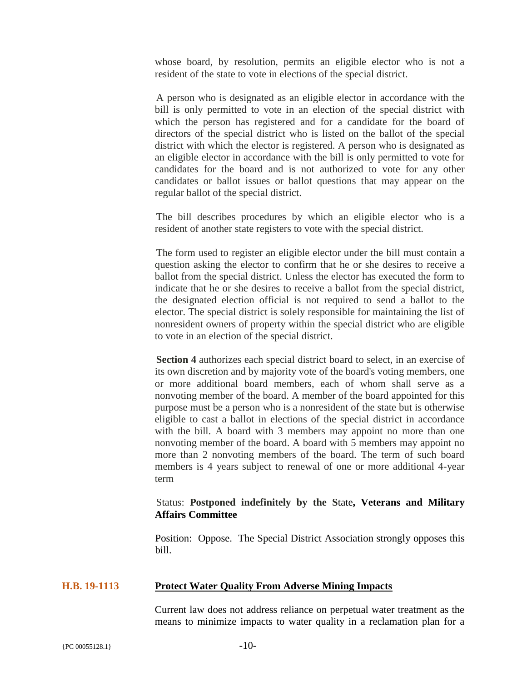whose board, by resolution, permits an eligible elector who is not a resident of the state to vote in elections of the special district.

A person who is designated as an eligible elector in accordance with the bill is only permitted to vote in an election of the special district with which the person has registered and for a candidate for the board of directors of the special district who is listed on the ballot of the special district with which the elector is registered. A person who is designated as an eligible elector in accordance with the bill is only permitted to vote for candidates for the board and is not authorized to vote for any other candidates or ballot issues or ballot questions that may appear on the regular ballot of the special district.

The bill describes procedures by which an eligible elector who is a resident of another state registers to vote with the special district.

The form used to register an eligible elector under the bill must contain a question asking the elector to confirm that he or she desires to receive a ballot from the special district. Unless the elector has executed the form to indicate that he or she desires to receive a ballot from the special district, the designated election official is not required to send a ballot to the elector. The special district is solely responsible for maintaining the list of nonresident owners of property within the special district who are eligible to vote in an election of the special district.

**Section 4** authorizes each special district board to select, in an exercise of its own discretion and by majority vote of the board's voting members, one or more additional board members, each of whom shall serve as a nonvoting member of the board. A member of the board appointed for this purpose must be a person who is a nonresident of the state but is otherwise eligible to cast a ballot in elections of the special district in accordance with the bill. A board with 3 members may appoint no more than one nonvoting member of the board. A board with 5 members may appoint no more than 2 nonvoting members of the board. The term of such board members is 4 years subject to renewal of one or more additional 4-year term

# Status: **Postponed indefinitely by the S**tate**, Veterans and Military Affairs Committee**

Position: Oppose. The Special District Association strongly opposes this bill.

# **H.B. 19-1113 Protect Water Quality From Adverse Mining Impacts**

Current law does not address reliance on perpetual water treatment as the means to minimize impacts to water quality in a reclamation plan for a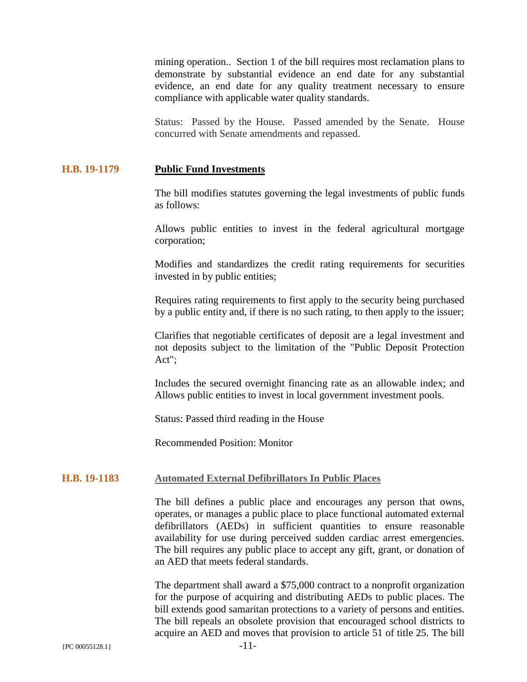mining operation.. Section 1 of the bill requires most reclamation plans to demonstrate by substantial evidence an end date for any substantial evidence, an end date for any quality treatment necessary to ensure compliance with applicable water quality standards.

Status: Passed by the House. Passed amended by the Senate. House concurred with Senate amendments and repassed.

#### **H.B. 19-1179 Public Fund Investments**

The bill modifies statutes governing the legal investments of public funds as follows:

Allows public entities to invest in the federal agricultural mortgage corporation;

Modifies and standardizes the credit rating requirements for securities invested in by public entities;

Requires rating requirements to first apply to the security being purchased by a public entity and, if there is no such rating, to then apply to the issuer;

Clarifies that negotiable certificates of deposit are a legal investment and not deposits subject to the limitation of the "Public Deposit Protection Act";

Includes the secured overnight financing rate as an allowable index; and Allows public entities to invest in local government investment pools.

Status: Passed third reading in the House

Recommended Position: Monitor

# **H.B. 19-1183 Automated External Defibrillators In Public Places**

The bill defines a public place and encourages any person that owns, operates, or manages a public place to place functional automated external defibrillators (AEDs) in sufficient quantities to ensure reasonable availability for use during perceived sudden cardiac arrest emergencies. The bill requires any public place to accept any gift, grant, or donation of an AED that meets federal standards.

The department shall award a \$75,000 contract to a nonprofit organization for the purpose of acquiring and distributing AEDs to public places. The bill extends good samaritan protections to a variety of persons and entities. The bill repeals an obsolete provision that encouraged school districts to acquire an AED and moves that provision to article 51 of title 25. The bill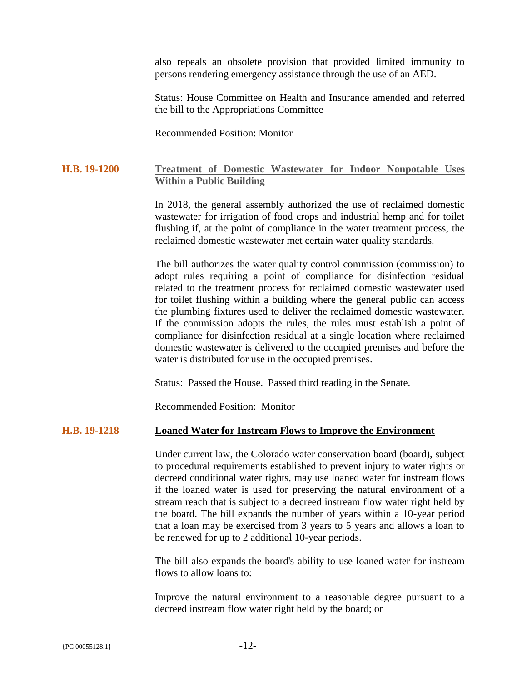also repeals an obsolete provision that provided limited immunity to persons rendering emergency assistance through the use of an AED.

Status: House Committee on Health and Insurance amended and referred the bill to the Appropriations Committee

Recommended Position: Monitor

## **H.B. 19-1200 Treatment of Domestic Wastewater for Indoor Nonpotable Uses Within a Public Building**

In 2018, the general assembly authorized the use of reclaimed domestic wastewater for irrigation of food crops and industrial hemp and for toilet flushing if, at the point of compliance in the water treatment process, the reclaimed domestic wastewater met certain water quality standards.

The bill authorizes the water quality control commission (commission) to adopt rules requiring a point of compliance for disinfection residual related to the treatment process for reclaimed domestic wastewater used for toilet flushing within a building where the general public can access the plumbing fixtures used to deliver the reclaimed domestic wastewater. If the commission adopts the rules, the rules must establish a point of compliance for disinfection residual at a single location where reclaimed domestic wastewater is delivered to the occupied premises and before the water is distributed for use in the occupied premises.

Status: Passed the House. Passed third reading in the Senate.

Recommended Position: Monitor

# **H.B. 19-1218 Loaned Water for Instream Flows to Improve the Environment**

Under current law, the Colorado water conservation board (board), subject to procedural requirements established to prevent injury to water rights or decreed conditional water rights, may use loaned water for instream flows if the loaned water is used for preserving the natural environment of a stream reach that is subject to a decreed instream flow water right held by the board. The bill expands the number of years within a 10-year period that a loan may be exercised from 3 years to 5 years and allows a loan to be renewed for up to 2 additional 10-year periods.

The bill also expands the board's ability to use loaned water for instream flows to allow loans to:

Improve the natural environment to a reasonable degree pursuant to a decreed instream flow water right held by the board; or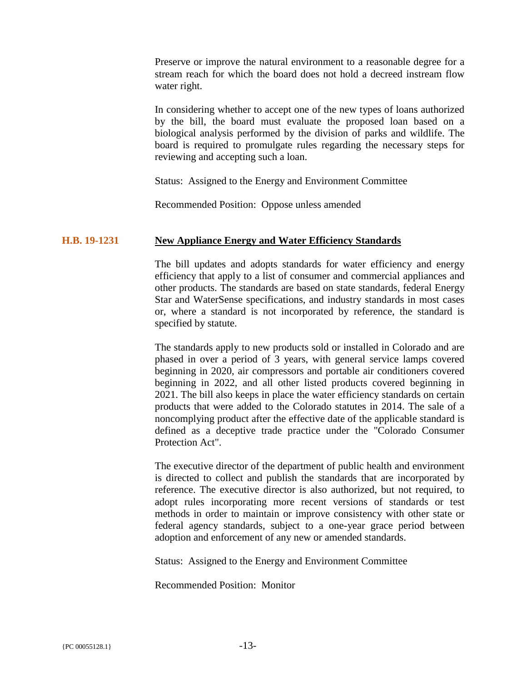Preserve or improve the natural environment to a reasonable degree for a stream reach for which the board does not hold a decreed instream flow water right.

In considering whether to accept one of the new types of loans authorized by the bill, the board must evaluate the proposed loan based on a biological analysis performed by the division of parks and wildlife. The board is required to promulgate rules regarding the necessary steps for reviewing and accepting such a loan.

Status: Assigned to the Energy and Environment Committee

Recommended Position: Oppose unless amended

# **H.B. 19-1231 New Appliance Energy and Water Efficiency Standards**

The bill updates and adopts standards for water efficiency and energy efficiency that apply to a list of consumer and commercial appliances and other products. The standards are based on state standards, federal Energy Star and WaterSense specifications, and industry standards in most cases or, where a standard is not incorporated by reference, the standard is specified by statute.

The standards apply to new products sold or installed in Colorado and are phased in over a period of 3 years, with general service lamps covered beginning in 2020, air compressors and portable air conditioners covered beginning in 2022, and all other listed products covered beginning in 2021. The bill also keeps in place the water efficiency standards on certain products that were added to the Colorado statutes in 2014. The sale of a noncomplying product after the effective date of the applicable standard is defined as a deceptive trade practice under the "Colorado Consumer Protection Act".

The executive director of the department of public health and environment is directed to collect and publish the standards that are incorporated by reference. The executive director is also authorized, but not required, to adopt rules incorporating more recent versions of standards or test methods in order to maintain or improve consistency with other state or federal agency standards, subject to a one-year grace period between adoption and enforcement of any new or amended standards.

Status: Assigned to the Energy and Environment Committee

Recommended Position: Monitor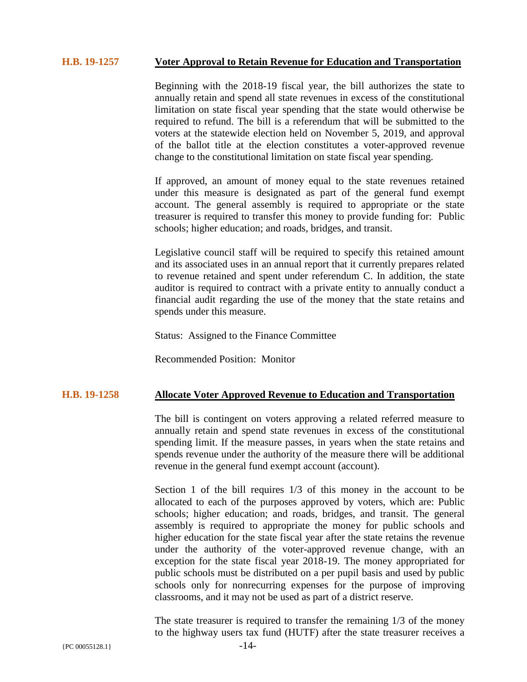# **H.B. 19-1257 Voter Approval to Retain Revenue for Education and Transportation**

Beginning with the 2018-19 fiscal year, the bill authorizes the state to annually retain and spend all state revenues in excess of the constitutional limitation on state fiscal year spending that the state would otherwise be required to refund. The bill is a referendum that will be submitted to the voters at the statewide election held on November 5, 2019, and approval of the ballot title at the election constitutes a voter-approved revenue change to the constitutional limitation on state fiscal year spending.

If approved, an amount of money equal to the state revenues retained under this measure is designated as part of the general fund exempt account. The general assembly is required to appropriate or the state treasurer is required to transfer this money to provide funding for: Public schools; higher education; and roads, bridges, and transit.

Legislative council staff will be required to specify this retained amount and its associated uses in an annual report that it currently prepares related to revenue retained and spent under referendum C. In addition, the state auditor is required to contract with a private entity to annually conduct a financial audit regarding the use of the money that the state retains and spends under this measure.

Status: Assigned to the Finance Committee

Recommended Position: Monitor

#### **H.B. 19-1258 Allocate Voter Approved Revenue to Education and Transportation**

The bill is contingent on voters approving a related referred measure to annually retain and spend state revenues in excess of the constitutional spending limit. If the measure passes, in years when the state retains and spends revenue under the authority of the measure there will be additional revenue in the general fund exempt account (account).

Section 1 of the bill requires 1/3 of this money in the account to be allocated to each of the purposes approved by voters, which are: Public schools; higher education; and roads, bridges, and transit. The general assembly is required to appropriate the money for public schools and higher education for the state fiscal year after the state retains the revenue under the authority of the voter-approved revenue change, with an exception for the state fiscal year 2018-19. The money appropriated for public schools must be distributed on a per pupil basis and used by public schools only for nonrecurring expenses for the purpose of improving classrooms, and it may not be used as part of a district reserve.

The state treasurer is required to transfer the remaining 1/3 of the money to the highway users tax fund (HUTF) after the state treasurer receives a